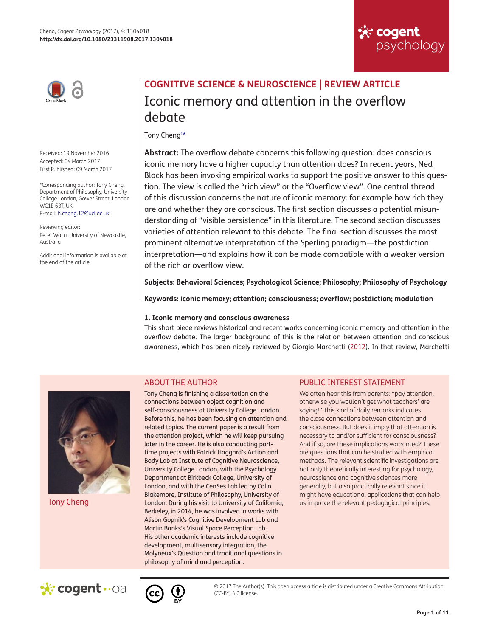

Received: 19 November 2016 Accepted: 04 March 2017 First Published: 09 March 2017

<span id="page-0-0"></span>\*Corresponding author: Tony Cheng, Department of Philosophy, University College London, Gower Street, London WC1E 6BT, UK E-mail: [h.cheng.12@ucl.ac.uk](mailto:h.cheng.12@ucl.ac.uk)

Reviewing editor: Peter Walla, University of Newcastle, Australia

Additional information is available at the end of the article

# **COGNITIVE SCIENCE & NEUROSCIENCE | REVIEW ARTICLE** Iconic memory and attention in the overflow debate

<span id="page-0-1"></span>Tony Cheng<sup>1[\\*](#page-0-0)</sup>

**Abstract:** The overflow debate concerns this following question: does conscious iconic memory have a higher capacity than attention does? In recent years, Ned Block has been invoking empirical works to support the positive answer to this question. The view is called the "rich view" or the "Overflow view". One central thread of this discussion concerns the nature of iconic memory: for example how rich they are and whether they are conscious. The first section discusses a potential misunderstanding of "visible persistence" in this literature. The second section discusses varieties of attention relevant to this debate. The final section discusses the most prominent alternative interpretation of the Sperling paradigm—the postdiction interpretation—and explains how it can be made compatible with a weaker version of the rich or overflow view.

**Subjects: Behavioral Sciences; Psychological Science; Philosophy; Philosophy of Psychology**

**Keywords: iconic memory; attention; consciousness; overflow; postdiction; modulation**

### **1. Iconic memory and conscious awareness**

<span id="page-0-2"></span>This short piece reviews historical and recent works concerning iconic memory and attention in the overflow debate. The larger background of this is the relation between attention and conscious awareness, which has been nicely reviewed by Giorgio Marchetti [\(2012\)](#page-9-0). In that review, Marchetti

# ABOUT THE AUTHOR

Tony Cheng

Tony Cheng is finishing a dissertation on the connections between object cognition and self-consciousness at University College London. Before this, he has been focusing on attention and related topics. The current paper is a result from the attention project, which he will keep pursuing later in the career. He is also conducting parttime projects with Patrick Haggard's Action and Body Lab at Institute of Cognitive Neuroscience, University College London, with the Psychology Department at Birkbeck College, University of London, and with the CenSes Lab led by Colin Blakemore, Institute of Philosophy, University of London. During his visit to University of California, Berkeley, in 2014, he was involved in works with Alison Gopnik's Cognitive Development Lab and Martin Banks's Visual Space Perception Lab. His other academic interests include cognitive development, multisensory integration, the Molyneux's Question and traditional questions in philosophy of mind and perception.

# PUBLIC INTEREST STATEMENT

We often hear this from parents: "pay attention, otherwise you wouldn't get what teachers' are saying!" This kind of daily remarks indicates the close connections between attention and consciousness. But does it imply that attention is necessary to and/or sufficient for consciousness? And if so, are these implications warranted? These are questions that can be studied with empirical methods. The relevant scientific investigations are not only theoretically interesting for psychology, neuroscience and cognitive sciences more generally, but also practically relevant since it might have educational applications that can help us improve the relevant pedagogical principles.

☆ cogent

psychology





© 2017 The Author(s). This open access article is distributed under a Creative Commons Attribution (CC-BY) 4.0 license.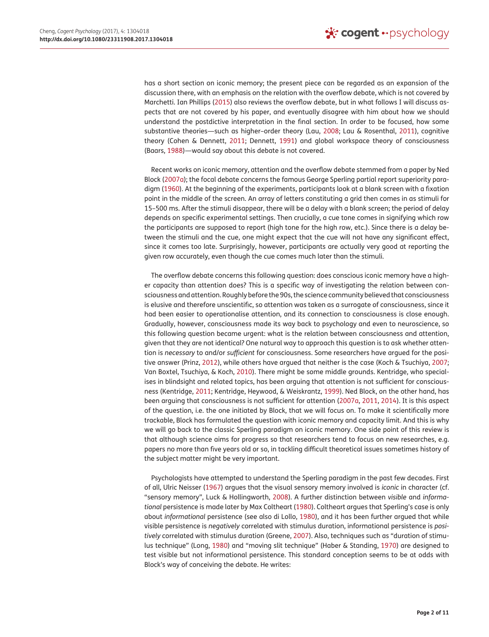<span id="page-1-18"></span>has a short section on iconic memory; the present piece can be regarded as an expansion of the discussion there, with an emphasis on the relation with the overflow debate, which is not covered by Marchetti. Ian Phillips ([2015\)](#page-9-1) also reviews the overflow debate, but in what follows I will discuss aspects that are not covered by his paper, and eventually disagree with him about how we should understand the postdictive interpretation in the final section. In order to be focused, how some substantive theories—such as higher–order theory (Lau, [2008](#page-9-2); Lau & Rosenthal, [2011](#page-9-3)), cognitive theory (Cohen & Dennett, [2011](#page-9-4); Dennett, [1991\)](#page-9-5) and global workspace theory of consciousness (Baars, [1988\)](#page-8-1)—would say about this debate is not covered.

<span id="page-1-20"></span><span id="page-1-14"></span><span id="page-1-13"></span><span id="page-1-6"></span><span id="page-1-4"></span><span id="page-1-1"></span><span id="page-1-0"></span>Recent works on iconic memory, attention and the overflow debate stemmed from a paper by Ned Block ([2007a](#page-8-2)); the focal debate concerns the famous George Sperling partial report superiority paradigm [\(1960\)](#page-10-0). At the beginning of the experiments, participants look at a blank screen with a fixation point in the middle of the screen. An array of letters constituting a grid then comes in as stimuli for 15–500 ms. After the stimuli disappear, there will be a delay with a blank screen; the period of delay depends on specific experimental settings. Then crucially, a cue tone comes in signifying which row the participants are supposed to report (high tone for the high row, etc.). Since there is a delay between the stimuli and the cue, one might expect that the cue will not have any significant effect, since it comes too late. Surprisingly, however, participants are actually very good at reporting the given row accurately, even though the cue comes much later than the stimuli.

<span id="page-1-21"></span><span id="page-1-19"></span><span id="page-1-12"></span>The overflow debate concerns this following question: does conscious iconic memory have a higher capacity than attention does? This is a specific way of investigating the relation between consciousness and attention. Roughly before the 90s, the science community believed that consciousness is elusive and therefore unscientific, so attention was taken as a surrogate of consciousness, since it had been easier to operationalise attention, and its connection to consciousness is close enough. Gradually, however, consciousness made its way back to psychology and even to neuroscience, so this following question became urgent: what is the relation between consciousness and attention, given that they are not identical? One natural way to approach this question is to ask whether attention is *necessary* to and/or *sufficient* for consciousness. Some researchers have argued for the positive answer (Prinz, [2012](#page-9-6)), while others have argued that neither is the case (Koch & Tsuchiya, [2007;](#page-9-7) Van Boxtel, Tsuchiya, & Koch, [2010](#page-10-1)). There might be some middle grounds. Kentridge, who specialises in blindsight and related topics, has been arguing that attention is not sufficient for consciousness (Kentridge, [2011](#page-9-8); Kentridge, Heywood, & Weiskrantz, [1999](#page-9-9)). Ned Block, on the other hand, has been arguing that consciousness is not sufficient for attention ([2007a](#page-8-2), [2011,](#page-8-3) [2014](#page-8-4)). It is this aspect of the question, i.e. the one initiated by Block, that we will focus on. To make it scientifically more trackable, Block has formulated the question with iconic memory and capacity limit. And this is why we will go back to the classic Sperling paradigm on iconic memory. One side point of this review is that although science aims for progress so that researchers tend to focus on new researches, e.g. papers no more than five years old or so, in tackling difficult theoretical issues sometimes history of the subject matter might be very important.

<span id="page-1-17"></span><span id="page-1-16"></span><span id="page-1-15"></span><span id="page-1-11"></span><span id="page-1-10"></span><span id="page-1-9"></span><span id="page-1-8"></span><span id="page-1-7"></span><span id="page-1-5"></span><span id="page-1-3"></span><span id="page-1-2"></span>Psychologists have attempted to understand the Sperling paradigm in the past few decades. First of all, Ulric Neisser ([1967](#page-9-10)) argues that the visual sensory memory involved is *iconic* in character (cf. "sensory memory", Luck & Hollingworth, [2008](#page-9-11)). A further distinction between *visible* and *informational* persistence is made later by Max Coltheart ([1980](#page-9-12)). Coltheart argues that Sperling's case is only about *informational* persistence (see also di Lollo, [1980\)](#page-9-13), and it has been further argued that while visible persistence is *negatively* correlated with stimulus duration, informational persistence is *positively* correlated with stimulus duration (Greene, [2007\)](#page-9-14). Also, techniques such as "duration of stimulus technique" (Long, [1980\)](#page-9-15) and "moving slit technique" (Haber & Standing, [1970](#page-9-16)) are designed to test visible but not informational persistence. This standard conception seems to be at odds with Block's way of conceiving the debate. He writes: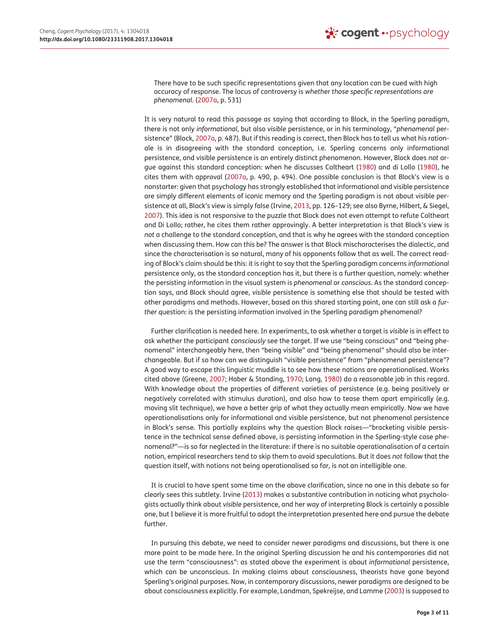There have to be such specific representations given that any location can be cued with high accuracy of response. The locus of controversy is *whether those specific representations are phenomenal*. [\(2007a,](#page-8-2) p. 531)

<span id="page-2-1"></span><span id="page-2-0"></span>It is very natural to read this passage as saying that according to Block, in the Sperling paradigm, there is not only *informational*, but also *visible* persistence, or in his terminology, "*phenomenal* persistence" (Block, [2007a,](#page-8-2) p. 487). But if this reading is correct, then Block has to tell us what his rationale is in disagreeing with the standard conception, i.e. Sperling concerns only informational persistence, and visible persistence is an entirely distinct phenomenon. However, Block does *not* argue against this standard conception: when he discusses Coltheart ([1980](#page-9-12)) and di Lollo [\(1980\)](#page-9-13), he cites them with approval ([2007a,](#page-8-2) p. 490, p. 494). One possible conclusion is that Block's view is a nonstarter: given that psychology has strongly established that informational and visible persistence are simply different elements of iconic memory and the Sperling paradigm is not about visible persistence at all, Block's view is simply false (Irvine, [2013,](#page-9-17) pp. 126–129; see also Byrne, Hilbert, & Siegel, [2007](#page-8-5)). This idea is not responsive to the puzzle that Block does not even attempt to refute Coltheart and Di Lollo; rather, he cites them rather approvingly. A better interpretation is that Block's view is *not* a challenge to the standard conception, and that is why he agrees with the standard conception when discussing them. How can this be? The answer is that Block mischaracterises the dialectic, and since the characterisation is so natural, many of his opponents follow that as well. The correct reading of Block's claim should be this: it is right to say that the Sperling paradigm concerns *informational* persistence only, as the standard conception has it, but there is a further question, namely: whether the persisting information in the visual system is *phenomenal* or *conscious*. As the standard conception says, and Block should agree, *visible* persistence is something else that should be tested with other paradigms and methods. However, based on this shared starting point, one can still ask a *further* question: is the persisting information involved in the Sperling paradigm phenomenal?

Further clarification is needed here. In experiments, to ask whether a target is *visible* is in effect to ask whether the participant *consciously* see the target. If we use "being conscious" and "being phenomenal" interchangeably here, then "being visible" and "being phenomenal" should also be interchangeable. But if so how can we distinguish "visible persistence" from "phenomenal persistence"? A good way to escape this linguistic muddle is to see how these notions are operationalised. Works cited above (Greene, [2007;](#page-9-14) Haber & Standing, [1970](#page-9-16); Long, [1980](#page-9-15)) do a reasonable job in this regard. With knowledge about the properties of different varieties of persistence (e.g. being positively or negatively correlated with stimulus duration), and also how to tease them apart empirically (e.g. moving slit technique), we have a better grip of what they actually mean empirically. Now we have operationalisations only for informational and visible persistence, but not phenomenal persistence in Block's sense. This partially explains why the question Block raises—"bracketing visible persistence in the technical sense defined above, is persisting information in the Sperling-style case phenomenal?"—is so far neglected in the literature: if there is no suitable operationalisation of a certain notion, empirical researchers tend to skip them to avoid speculations. But it does *not* follow that the question itself, with notions not being operationalised so far, is not an intelligible one.

It is crucial to have spent some time on the above clarification, since no one in this debate so far clearly sees this subtlety. Irvine ([2013](#page-9-17)) makes a substantive contribution in noticing what psychologists actually think about *visible* persistence, and her way of interpreting Block is certainly a possible one, but I believe it is more fruitful to adopt the interpretation presented here and pursue the debate further.

<span id="page-2-2"></span>In pursuing this debate, we need to consider newer paradigms and discussions, but there is one more point to be made here. In the original Sperling discussion he and his contemporaries did not use the term "consciousness": as stated above the experiment is about *informational* persistence, which can be unconscious. In making claims about consciousness, theorists have gone beyond Sperling's original purposes. Now, in contemporary discussions, newer paradigms are designed to be about consciousness explicitly. For example, Landman, Spekreijse, and Lamme ([2003](#page-9-18)) is supposed to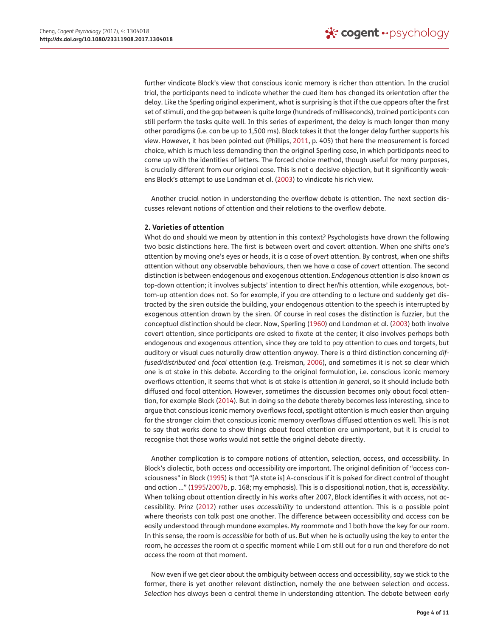<span id="page-3-2"></span>further vindicate Block's view that conscious iconic memory is richer than attention. In the crucial trial, the participants need to indicate whether the cued item has changed its orientation after the delay. Like the Sperling original experiment, what is surprising is that if the cue appears after the first set of stimuli, and the gap between is quite large (hundreds of milliseconds), trained participants can still perform the tasks quite well. In this series of experiment, the delay is much longer than many other paradigms (i.e. can be up to 1,500 ms). Block takes it that the longer delay further supports his view. However, it has been pointed out (Phillips, [2011,](#page-9-19) p. 405) that here the measurement is forced choice, which is much less demanding than the original Sperling case, in which participants need to come up with the identities of letters. The forced choice method, though useful for many purposes, is crucially different from our original case. This is not a decisive objection, but it significantly weakens Block's attempt to use Landman et al. [\(2003\)](#page-9-18) to vindicate his rich view.

Another crucial notion in understanding the overflow debate is attention. The next section discusses relevant notions of attention and their relations to the overflow debate.

### **2. Varieties of attention**

What do and should we mean by attention in this context? Psychologists have drawn the following two basic distinctions here. The first is between overt and covert attention. When one shifts one's attention by moving one's eyes or heads, it is a case of *overt* attention. By contrast, when one shifts attention without any observable behaviours, then we have a case of *covert* attention. The second distinction is between endogenous and exogenous attention. *Endogenous* attention is also known as top-down attention; it involves subjects' intention to direct her/his attention, while *exogenous*, bottom-up attention does not. So for example, if you are attending to a lecture and suddenly get distracted by the siren outside the building, your endogenous attention to the speech is interrupted by exogenous attention drawn by the siren. Of course in real cases the distinction is fuzzier, but the conceptual distinction should be clear. Now, Sperling ([1960](#page-10-0)) and Landman et al. ([2003](#page-9-18)) both involve covert attention, since participants are asked to fixate at the center; it also involves perhaps both endogenous and exogenous attention, since they are told to pay attention to cues and targets, but auditory or visual cues naturally draw attention anyway. There is a third distinction concerning *diffused/distributed* and *focal* attention (e.g. Treisman, [2006](#page-10-2)), and sometimes it is not so clear which one is at stake in this debate. According to the original formulation, i.e. conscious iconic memory overflows attention, it seems that what is at stake is attention *in general*, so it should include both diffused and focal attention. However, sometimes the discussion becomes only about focal attention, for example Block ([2014](#page-8-4)). But in doing so the debate thereby becomes less interesting, since to argue that conscious iconic memory overflows focal, spotlight attention is much easier than arguing for the stronger claim that conscious iconic memory overflows diffused attention as well. This is not to say that works done to show things about focal attention are unimportant, but it is crucial to recognise that those works would not settle the original debate directly.

<span id="page-3-3"></span><span id="page-3-1"></span><span id="page-3-0"></span>Another complication is to compare notions of attention, selection, access, and accessibility. In Block's dialectic, both access and accessibility are important. The original definition of "access consciousness" in Block ([1995](#page-8-6)) is that "[A state is] A-conscious if it is *poised* for direct control of thought and action …" [\(1995/](#page-8-6)[2007b,](#page-8-7) p. 168; my emphasis). This is a dispositional notion, that is, *accessibility*. When talking about attention directly in his works after 2007, Block identifies it with *access*, not accessibility. Prinz [\(2012\)](#page-9-6) rather uses *accessibility* to understand attention. This is a possible point where theorists can talk past one another. The difference between accessibility and access can be easily understood through mundane examples. My roommate and I both have the key for our room. In this sense, the room is *accessible* for both of us. But when he is actually using the key to enter the room, he *accesses* the room at a specific moment while I am still out for a run and therefore do not access the room at that moment.

Now even if we get clear about the ambiguity between access and accessibility, say we stick to the former, there is yet another relevant distinction, namely the one between selection and access. *Selection* has always been a central theme in understanding attention. The debate between early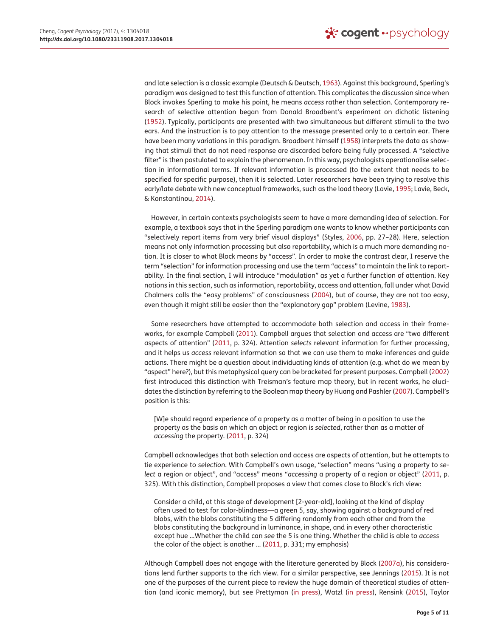<span id="page-4-5"></span><span id="page-4-1"></span><span id="page-4-0"></span>and late selection is a classic example (Deutsch & Deutsch, [1963](#page-9-20)). Against this background, Sperling's paradigm was designed to test this function of attention. This complicates the discussion since when Block invokes Sperling to make his point, he means *access* rather than selection. Contemporary research of selective attention began from Donald Broadbent's experiment on dichotic listening ([1952](#page-8-8)). Typically, participants are presented with two simultaneous but different stimuli to the two ears. And the instruction is to pay attention to the message presented only to a certain ear. There have been many variations in this paradigm. Broadbent himself [\(1958\)](#page-8-9) interprets the data as showing that stimuli that do not need response are discarded before being fully processed. A "selective filter" is then postulated to explain the phenomenon. In this way, psychologists operationalise selection in informational terms. If relevant information is processed (to the extent that needs to be specified for specific purpose), then it is selected. Later researchers have been trying to resolve this early/late debate with new conceptual frameworks, such as the load theory (Lavie, [1995](#page-9-21); Lavie, Beck, & Konstantinou, [2014](#page-9-22)).

<span id="page-4-13"></span><span id="page-4-9"></span><span id="page-4-8"></span>However, in certain contexts psychologists seem to have a more demanding idea of selection. For example, a textbook says that in the Sperling paradigm one wants to know whether participants can "selectively report items from very brief visual displays" (Styles, [2006](#page-10-3), pp. 27–28). Here, selection means not only information processing but also reportability, which is a much more demanding notion. It is closer to what Block means by "access". In order to make the contrast clear, I reserve the term "selection" for information processing and use the term "access" to maintain the link to reportability. In the final section, I will introduce "modulation" as yet a further function of attention. Key notions in this section, such as information, reportability, access and attention, fall under what David Chalmers calls the "easy problems" of consciousness [\(2004\)](#page-8-10), but of course, they are not too easy, even though it might still be easier than the "explanatory gap" problem (Levine, [1983\)](#page-9-23).

<span id="page-4-10"></span><span id="page-4-4"></span><span id="page-4-3"></span><span id="page-4-2"></span>Some researchers have attempted to accommodate both selection and access in their frameworks, for example Campbell [\(2011](#page-8-11)). Campbell argues that selection and access are "two different aspects of attention" [\(2011,](#page-8-11) p. 324). Attention *selects* relevant information for further processing, and it helps us *access* relevant information so that we can use them to make inferences and guide actions. There might be a question about individuating kinds of attention (e.g. what do we mean by "aspect" here?), but this metaphysical query can be bracketed for present purposes. Campbell ([2002](#page-8-12)) first introduced this distinction with Treisman's feature map theory, but in recent works, he elucidates the distinction by referring to the Boolean map theory by Huang and Pashler [\(2007\)](#page-9-24). Campbell's position is this:

<span id="page-4-6"></span>[W]e should regard experience of a property as a matter of being in a position to use the property as the basis on which an object or region is *selected*, rather than as a matter of *accessing* the property. [\(2011](#page-8-11), p. 324)

Campbell acknowledges that both selection and access are aspects of attention, but he attempts to tie experience to *selection*. With Campbell's own usage, "selection" means "using a property to *select* a region or object", and "access" means "*accessing* a property of a region or object" ([2011](#page-8-11), p. 325). With this distinction, Campbell proposes a view that comes close to Block's rich view:

<span id="page-4-12"></span>Consider a child, at this stage of development [2-year-old], looking at the kind of display often used to test for color-blindness—a green 5, say, showing against a background of red blobs, with the blobs constituting the 5 differing randomly from each other and from the blobs constituting the background in luminance, in shape, and in every other characteristic except hue …Whether the child can *see* the 5 is one thing. Whether the child is able to *access* the color of the object is another … ([2011](#page-8-11), p. 331; my emphasis)

<span id="page-4-14"></span><span id="page-4-11"></span><span id="page-4-7"></span>Although Campbell does not engage with the literature generated by Block ([2007a\)](#page-8-2), his considerations lend further supports to the rich view. For a similar perspective, see Jennings [\(2015](#page-9-25)). It is not one of the purposes of the current piece to review the huge domain of theoretical studies of attention (and iconic memory), but see Prettyman ([in press\)](#page-9-26), Watzl [\(in press](#page-10-4)), Rensink ([2015\)](#page-9-27), Taylor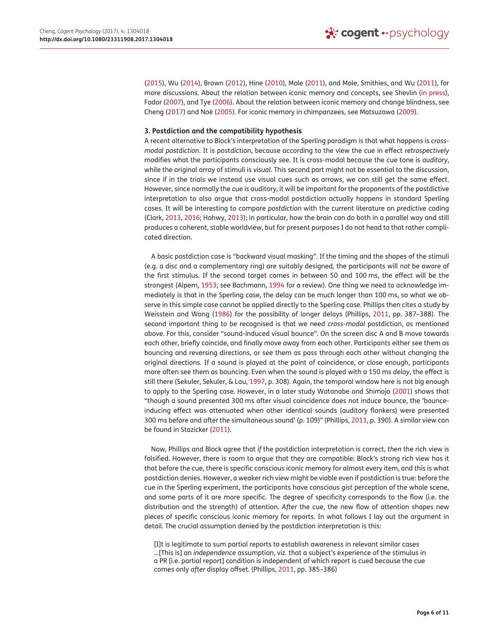<span id="page-5-20"></span><span id="page-5-17"></span><span id="page-5-16"></span><span id="page-5-14"></span><span id="page-5-11"></span><span id="page-5-10"></span><span id="page-5-7"></span><span id="page-5-6"></span><span id="page-5-2"></span>([2015](#page-10-5)), Wu ([2014](#page-10-6)), Brown ([2012](#page-8-13)), Hine [\(2010](#page-9-28)), Mole [\(2011\)](#page-9-29), and Mole, Smithies, and Wu [\(2011\)](#page-9-30), for more discussions. About the relation between iconic memory and concepts, see Shevlin [\(in press](#page-10-7)), Fodor ([2007\)](#page-9-31), and Tye ([2006](#page-10-8)). About the relation between iconic memory and change blindness, see Cheng [\(2017\)](#page-9-32) and Noë [\(2005\)](#page-9-33). For iconic memory in chimpanzees, see Matsuzawa [\(2009](#page-9-34)).

### <span id="page-5-12"></span><span id="page-5-9"></span><span id="page-5-3"></span>**3. Postdiction and the compatibility hypothesis**

A recent alternative to Block's interpretation of the Sperling paradigm is that what happens is *crossmodal postdiction*. It is postdiction, because according to the view the cue in effect *retrospectively* modifies what the participants consciously see. It is cross-modal because the cue tone is *auditory*, while the original array of stimuli is *visual*. This second part might not be essential to the discussion, since if in the trials we instead use visual cues such as arrows, we can still get the same effect. However, since normally the cue is auditory, it will be important for the proponents of the postdictive interpretation to also argue that cross-modal postdiction actually happens in standard Sperling cases. It will be interesting to compare *postdiction* with the current literature on *predictive* coding (Clark, [2013,](#page-9-35) [2016](#page-9-36); Hohwy, [2013](#page-9-37)); in particular, how the brain can do both in a parallel way and still produces a coherent, stable worldview, but for present purposes I do not head to that rather complicated direction.

<span id="page-5-19"></span><span id="page-5-8"></span><span id="page-5-5"></span><span id="page-5-4"></span><span id="page-5-1"></span><span id="page-5-0"></span>A basic postdiction case is "backward visual masking". If the timing and the shapes of the stimuli (e.g. a disc and a complementary ring) are suitably designed, the participants will *not* be aware of the first stimulus. If the second target comes in between 50 and 100 ms, the effect will be the strongest (Alpern, [1953](#page-8-14); see Bachmann, [1994](#page-8-15) for a review). One thing we need to acknowledge immediately is that in the Sperling case, the delay can be much longer than 100 ms, so what we observe in this simple case cannot be applied directly to the Sperling case. Phillips then cites a study by Weisstein and Wong [\(1986\)](#page-10-9) for the possibility of longer delays (Phillips, [2011](#page-9-19), pp. 387–388). The second important thing to be recognised is that we need *cross*-*modal* postdiction, as mentioned above. For this, consider "sound-induced visual bounce". On the screen disc A and B move towards each other, briefly coincide, and finally move away from each other. Participants either see them as bouncing and reversing directions, or see them as pass through each other without changing the original directions. If a sound is played at the point of coincidence, or close enough, participants more often see them as bouncing. Even when the sound is played with a 150 ms *delay*, the effect is still there (Sekuler, Sekuler, & Lau, [1997](#page-9-38), p. 308). Again, the temporal window here is not big enough to apply to the Sperling case. However, in a later study Watanabe and Shimojo [\(2001\)](#page-10-10) shows that "though a sound presented 300 ms after visual coincidence does not induce bounce, the 'bounceinducing effect was attenuated when other identical sounds (auditory flankers) were presented 300 ms before and after the simultaneous sound' (p. 109)" (Phillips, [2011](#page-9-19), p. 390). A similar view can be found in Stazicker [\(2011\)](#page-10-11).

<span id="page-5-18"></span><span id="page-5-15"></span><span id="page-5-13"></span>Now, Phillips and Block agree that *if* the postdiction interpretation is correct, *then* the rich view is falsified. However, there is room to argue that they are compatible: Block's strong rich view has it that before the cue, there is specific conscious iconic memory for almost every item, and this is what postdiction denies. However, a weaker rich view might be viable even if postdiction is true: before the cue in the Sperling experiment, the participants have conscious *gist* perception of the whole scene, and some parts of it are more specific. The degree of specificity corresponds to the flow (i.e. the distribution and the strength) of attention. *After* the cue, the new flow of attention shapes new pieces of specific conscious iconic memory for reports. In what follows I lay out the argument in detail. The crucial assumption denied by the postdiction interpretation is this:

[I]t is legitimate to sum partial reports to establish awareness in relevant similar cases ...[This is] an *independence* assumption, viz. that a subject's experience of the stimulus in a PR [i.e. partial report] condition is independent of which report is cued because the cue comes only *after* display offset. (Phillips, [2011](#page-9-19), pp. 385–386)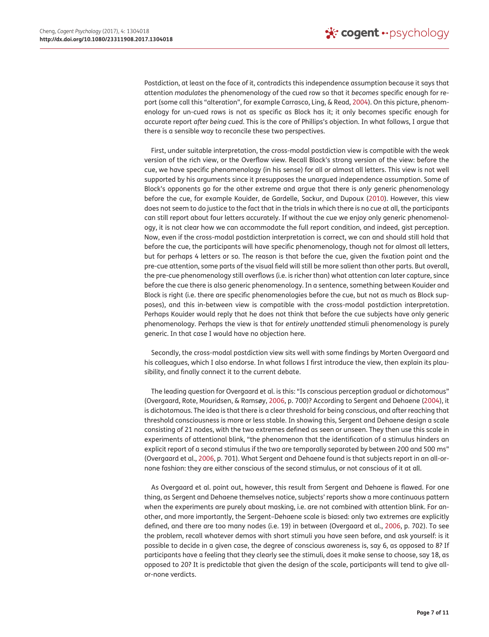<span id="page-6-0"></span>Postdiction, at least on the face of it, contradicts this independence assumption because it says that attention *modulates* the phenomenology of the cued row so that it *becomes* specific enough for report (some call this "alteration", for example Carrasco, Ling, & Read, [2004\)](#page-8-16). On this picture, phenomenology for un-cued rows is not as specific as Block has it; it only becomes specific enough for accurate report *after being cued*. This is the core of Phillips's objection. In what follows, I argue that there is a sensible way to reconcile these two perspectives.

<span id="page-6-1"></span>First, under suitable interpretation, the cross-modal postdiction view is compatible with the weak version of the rich view, or the Overflow view. Recall Block's strong version of the view: before the cue, we have specific phenomenology (in his sense) for all or almost all letters. This view is not well supported by his arguments since it presupposes the unargued independence assumption. Some of Block's opponents go for the other extreme and argue that there is *only* generic phenomenology before the cue, for example Kouider, de Gardelle, Sackur, and Dupoux ([2010\)](#page-9-39). However, this view does not seem to do justice to the fact that in the trials in which there is no cue at all, the participants can still report about four letters accurately. If without the cue we enjoy only generic phenomenology, it is not clear how we can accommodate the full report condition, and indeed, gist perception. Now, even if the cross-modal postdiction interpretation is correct, we can and should still hold that before the cue, the participants will have specific phenomenology, though not for almost all letters, but for perhaps 4 letters or so. The reason is that before the cue, given the fixation point and the pre-cue attention, some parts of the visual field will still be more salient than other parts. But overall, the pre-cue phenomenology still overflows (i.e. is richer than) what attention can later capture, since before the cue there is also generic phenomenology. In a sentence, something between Kouider and Block is right (i.e. there are specific phenomenologies before the cue, but not as much as Block supposes), and this in-between view is compatible with the cross-modal postdiction interpretation. Perhaps Kouider would reply that he does not think that before the cue subjects have only generic phenomenology. Perhaps the view is that for *entirely unattended* stimuli phenomenology is purely generic. In that case I would have no objection here.

Secondly, the cross-modal postdiction view sits well with some findings by Morten Overgaard and his colleagues, which I also endorse. In what follows I first introduce the view, then explain its plausibility, and finally connect it to the current debate.

<span id="page-6-3"></span><span id="page-6-2"></span>The leading question for Overgaard et al. is this: "Is conscious perception gradual or dichotomous" (Overgaard, Rote, Mouridsen, & Ramsøy, [2006,](#page-9-40) p. 700)? According to Sergent and Dehaene [\(2004\)](#page-10-12), it is dichotomous. The idea is that there is a clear threshold for being conscious, and after reaching that threshold consciousness is more or less stable. In showing this, Sergent and Dehaene design a scale consisting of 21 nodes, with the two extremes defined as seen or unseen. They then use this scale in experiments of attentional blink, "the phenomenon that the identification of a stimulus hinders an explicit report of a second stimulus if the two are temporally separated by between 200 and 500 ms" (Overgaard et al., [2006,](#page-9-40) p. 701). What Sergent and Dehaene found is that subjects report in an all-ornone fashion: they are either conscious of the second stimulus, or not conscious of it at all.

As Overgaard et al. point out, however, this result from Sergent and Dehaene is flawed. For one thing, as Sergent and Dehaene themselves notice, subjects' reports show a more continuous pattern when the experiments are purely about masking, i.e. are not combined with attention blink. For another, and more importantly, the Sergent–Dehaene scale is biased: only two extremes are explicitly defined, and there are too many nodes (i.e. 19) in between (Overgaard et al., [2006](#page-9-40), p. 702). To see the problem, recall whatever demos with short stimuli you have seen before, and ask yourself: is it possible to decide in a given case, the degree of conscious awareness is, say 6, as opposed to 8? If participants have a feeling that they clearly see the stimuli, does it make sense to choose, say 18, as opposed to 20? It is predictable that given the design of the scale, participants will tend to give allor-none verdicts.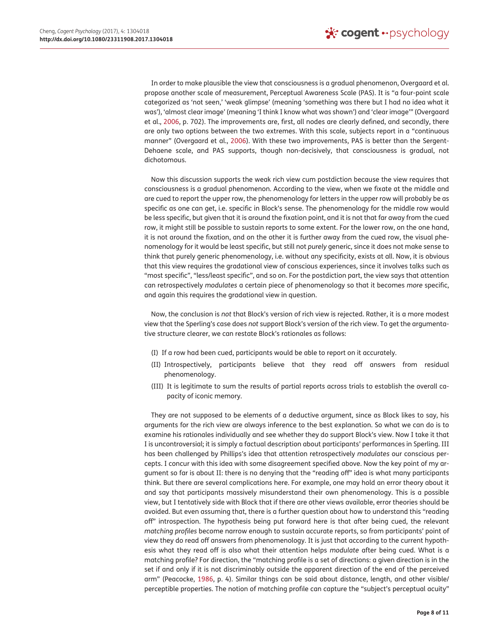In order to make plausible the view that consciousness is a gradual phenomenon, Overgaard et al. propose another scale of measurement, Perceptual Awareness Scale (PAS). It is "a four-point scale categorized as 'not seen,' 'weak glimpse' (meaning 'something was there but I had no idea what it was'), 'almost clear image' (meaning 'I think I know what was shown') and 'clear image'" (Overgaard et al., [2006](#page-9-40), p. 702). The improvements are, first, all nodes are clearly defined, and secondly, there are only two options between the two extremes. With this scale, subjects report in a "continuous manner" (Overgaard et al., [2006\)](#page-9-40). With these two improvements, PAS is better than the Sergent-Dehaene scale, and PAS supports, though non-decisively, that consciousness is gradual, not dichotomous.

Now this discussion supports the weak rich view cum postdiction because the view requires that consciousness is a gradual phenomenon. According to the view, when we fixate at the middle and are cued to report the upper row, the phenomenology for letters in the upper row will probably be as specific as one can get, i.e. specific in Block's sense. The phenomenology for the middle row would be less specific, but given that it is around the fixation point, and it is not that far away from the cued row, it might still be possible to sustain reports to some extent. For the lower row, on the one hand, it is not around the fixation, and on the other it is further away from the cued row, the visual phenomenology for it would be least specific, but still not *purely* generic, since it does not make sense to think that purely generic phenomenology, i.e. without any specificity, exists at all. Now, it is obvious that this view requires the gradational view of conscious experiences, since it involves talks such as "most specific", "less/least specific", and so on. For the postdiction part, the view says that attention can retrospectively *modulates* a certain piece of phenomenology so that it becomes *more* specific, and again this requires the gradational view in question.

Now, the conclusion is *not* that Block's version of rich view is rejected. Rather, it is a more modest view that the Sperling's case does *not* support Block's version of the rich view. To get the argumentative structure clearer, we can restate Block's rationales as follows:

- (I) If a row had been cued, participants would be able to report on it accurately.
- (II) Introspectively, participants believe that they read off answers from residual phenomenology.
- (III) It is legitimate to sum the results of partial reports across trials to establish the overall capacity of iconic memory.

<span id="page-7-0"></span>They are not supposed to be elements of a deductive argument, since as Block likes to say, his arguments for the rich view are always inference to the best explanation. So what we can do is to examine his rationales individually and see whether they do support Block's view. Now I take it that I is uncontroversial; it is simply a factual description about participants' performances in Sperling. III has been challenged by Phillips's idea that attention retrospectively *modulates* our conscious percepts. I concur with this idea with some disagreement specified above. Now the key point of my argument so far is about II: there is no denying that the "reading off" idea is what many participants think. But there are several complications here. For example, one may hold an error theory about it and say that participants massively misunderstand their own phenomenology. This is a possible view, but I tentatively side with Block that if there are other views available, error theories should be avoided. But even assuming that, there is a further question about how to understand this "reading off" introspection. The hypothesis being put forward here is that after being cued, the relevant *matching profiles* become narrow enough to sustain accurate reports, so from participants' point of view they do read off answers from phenomenology. It is just that according to the current hypothesis what they read off is also what their attention helps *modulate* after being cued. What is a matching profile? For direction, the "matching profile is a set of directions: a given direction is in the set if and only if it is not discriminably outside the apparent direction of the end of the perceived arm" (Peacocke, [1986,](#page-9-41) p. 4). Similar things can be said about distance, length, and other visible/ perceptible properties. The notion of matching profile can capture the "subject's perceptual acuity"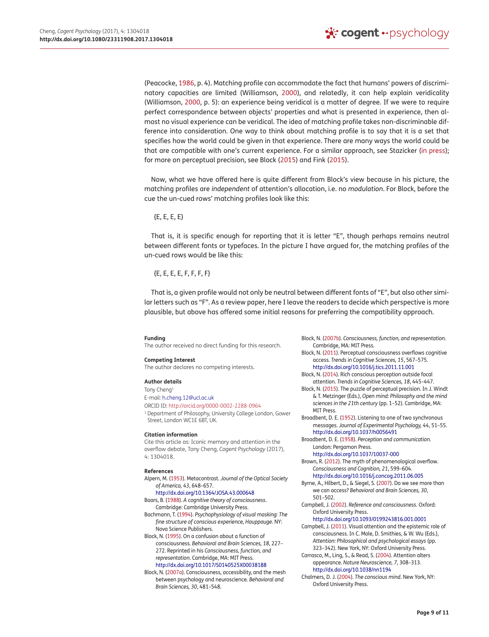<span id="page-8-21"></span>(Peacocke, [1986,](#page-9-41) p. 4). Matching profile can accommodate the fact that humans' powers of discriminatory capacities are limited (Williamson, [2000](#page-10-13)), and relatedly, it can help explain veridicality (Williamson, [2000,](#page-10-13) p. 5): an experience being veridical is a matter of degree. If we were to require perfect correspondence between objects' properties and what is presented in experience, then almost no visual experience can be veridical. The idea of matching profile takes non-discriminable difference into consideration. One way to think about matching profile is to say that it is a set that specifies how the world could be given in that experience. There are many ways the world could be that are compatible with one's current experience. For a similar approach, see Stazicker [\(in press](#page-10-14)); for more on perceptual precision, see Block [\(2015\)](#page-8-17) and Fink ([2015](#page-9-42)).

<span id="page-8-20"></span><span id="page-8-18"></span>Now, what we have offered here is quite different from Block's view because in his picture, the matching profiles are *independent* of attention's allocation, i.e. no *modulation*. For Block, before the cue the un-cued rows' matching profiles look like this:

{E, E, E, E}

That is, it is specific enough for reporting that it is letter "E", though perhaps remains neutral between different fonts or typefaces. In the picture I have argued for, the matching profiles of the un-cued rows would be like this:

{E, E, E, E, F, F, F, F}

That is, a given profile would not only be neutral between different fonts of "E", but also other similar letters such as "F". As a review paper, here I leave the readers to decide which perspective is more plausible, but above has offered some initial reasons for preferring the compatibility approach.

#### **Funding**

The author received no direct funding for this research.

#### **Competing Interest**

The author declares no competing interests.

#### **Author details**

#### Tony Chen[g1](#page-0-1)

E-mail: [h.cheng.12@ucl.ac.uk](mailto:h.cheng.12@ucl.ac.uk)

ORCID ID:<http://orcid.org/0000-0002-2288-0964>

<span id="page-8-0"></span><sup>1</sup> Department of Philosophy, University College London, Gower Street, London WC1E 6BT, UK.

#### **Citation information**

Cite this article as: Iconic memory and attention in the overflow debate, Tony Cheng, *Cogent Psychology* (2017), 4: 1304018.

#### **References**

<span id="page-8-14"></span>Alpern, M. ([1953\)](#page-5-0). Metacontrast. *Journal of the Optical Society of America, 43*, 648–657[.](http://dx.doi.org/10.1364/JOSA.43.000648)

<http://dx.doi.org/10.1364/JOSA.43.000648>

- <span id="page-8-1"></span>Baars, B. ([1988](#page-1-0)). *A cognitive theory of consciousness*. Cambridge: Cambridge University Press.
- <span id="page-8-15"></span>Bachmann, T. ([1994\)](#page-5-1). *Psychophysiology of visual masking: The fine structure of conscious experience, Hauppauge*. NY: Nova Science Publishers.

<span id="page-8-6"></span>Block, N. [\(1995](#page-3-0)). On a confusion about a function of consciousness. *Behavioral and Brain Sciences, 18*, 227– 272. Reprinted in his *Consciousness, function, and representation*. Cambridge, MA: MIT Press[.](http://dx.doi.org/10.1017/S0140525X00038188) <http://dx.doi.org/10.1017/S0140525X00038188>

<span id="page-8-2"></span>Block, N. [\(2007a\)](#page-1-1). Consciousness, accessibility, and the mesh between psychology and neuroscience. *Behavioral and Brain Sciences, 30*, 481–548.

<span id="page-8-19"></span><span id="page-8-7"></span>Block, N. [\(2007b\)](#page-3-1). *Consciousness, function, and representation*. Cambridge, MA: MIT Press.

- <span id="page-8-3"></span>Block, N. [\(2011](#page-1-2)). Perceptual consciousness overflows c[o](http://dx.doi.org/10.1016/j.tics.2011.11.001)gnitive access. *Trends in Cognitive Sciences, 15*, 567–575. <http://dx.doi.org/10.1016/j.tics.2011.11.001>
- <span id="page-8-4"></span>Block, N. [\(2014](#page-1-3)). Rich conscious perception outside focal attention. *Trends in Cognitive Sciences, 18*, 445–447.
- <span id="page-8-17"></span>Block, N. [\(2015](#page-8-18)). The puzzle of perceptual precision. In J. Windt & T. Metzinger (Eds.), *Open mind: Philosophy and the mind sciences in the 21th century* (pp. 1–52). Cambridge, MA: MIT Press.

<span id="page-8-8"></span>Broadbent, D. E. ([1952\)](#page-4-0). Listening to one of two synchronous messages. *Journal of Experimental Psychology, 44*, 51–55[.](http://dx.doi.org/10.1037/h0056491) <http://dx.doi.org/10.1037/h0056491>

<span id="page-8-9"></span>Broadbent, D. E. ([1958\)](#page-4-1). *Perception and communication*. London: Pergamon Press[.](http://dx.doi.org/10.1037/10037-000)

<span id="page-8-13"></span><http://dx.doi.org/10.1037/10037-000> Brown, R. ([2012\)](#page-5-2). The myth of phenomenologic[a](http://dx.doi.org/10.1016/j.concog.2011.06.005)l overflow. *Consciousness and Cognition, 21*, 599–604. <http://dx.doi.org/10.1016/j.concog.2011.06.005>

- <span id="page-8-5"></span>Byrne, A., Hilbert, D., & Siegel, S. [\(2007](#page-2-0)). Do we see more than we can access? *Behavioral and Brain Sciences, 30*, 501–502.
- <span id="page-8-12"></span>Campbell, J. ([2002\)](#page-4-2). *Referen[ce](http://dx.doi.org/10.1093/0199243816.001.0001) and consciousness*. Oxford: Oxford University Press.

<span id="page-8-11"></span><http://dx.doi.org/10.1093/0199243816.001.0001> Campbell, J. ([2011\)](#page-4-3). Visual attention and the epistemic role of consciousness. In C. Mole, D. Smithies, & W. Wu (Eds.), *Attention: Philosophical and psychological essays* (pp. 323–342). New York, NY: Oxford University Press.

<span id="page-8-16"></span>Carrasco, M., Ling, S., & Read, S. [\(2004](#page-6-0)). Attention alters appearance. *Nature Neuroscience, 7*, 308–313[.](http://dx.doi.org/10.1038/nn1194) <http://dx.doi.org/10.1038/nn1194>

<span id="page-8-10"></span>Chalmers, D. J. [\(2004](#page-4-4)). *The conscious mind*. New York, NY: Oxford University Press.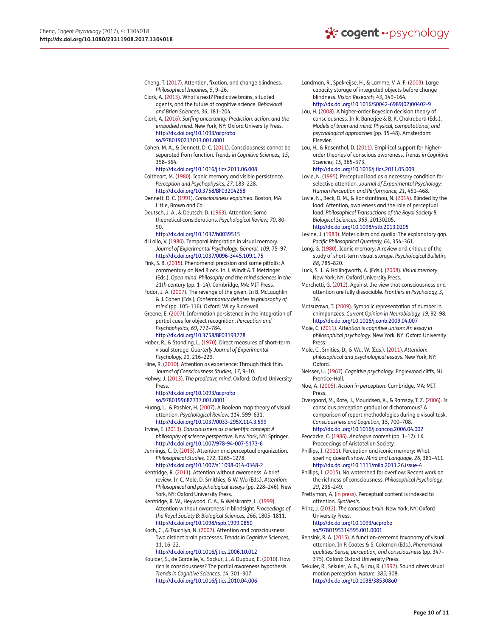<span id="page-9-36"></span><span id="page-9-35"></span><span id="page-9-32"></span><span id="page-9-20"></span><span id="page-9-12"></span><span id="page-9-5"></span><span id="page-9-4"></span>

| Cheng, T. (2017). Attention, fixation, and change blindness.                                                                | Landman,               |
|-----------------------------------------------------------------------------------------------------------------------------|------------------------|
| Philosophical Inquiries, 5, 9-26.<br>Clark, A. (2013). What's next? Predictive brains, situated                             | capa<br>blind          |
| agents, and the future of cognitive science. Behavioral<br>and Brian Sciences, 36, 181-204.                                 | http:<br>Lau, H. (2(   |
| Clark, A. (2016). Surfing uncertainty: Prediction, action, and the<br>embodied mind. New York, NY: Oxford University Press. | cons<br>Mode           |
| http://dx.doi.org/10.1093/acprof:o                                                                                          | psycl                  |
| so/9780190217013.001.0001<br>Cohen, M. A., & Dennett, D. C. (2011). Consciousness cannot be                                 | Elsev<br>Lau, H., &    |
| separated from function. Trends in Cognitive Sciences, 15,<br>358-364.                                                      | order<br>Scien         |
| http://dx.doi.org/10.1016/j.tics.2011.06.008                                                                                | http:                  |
| Coltheart, M. (1980). Iconic memory and visible persistence.<br>Perception and Psychophysics, 27, 183-228.                  | Lavie, N. (<br>selec   |
| http://dx.doi.org/10.3758/BF03204258                                                                                        | Hum                    |
| Dennett, D. C. (1991). Consciousness explained. Boston, MA:<br>Little, Brown and Co.                                        | Lavie, N., I<br>load:  |
| Deutsch, J. A., & Deutsch, D. (1963). Attention: Some                                                                       | load.                  |
| theoretical considerations. Psychological Review, 70, 80-<br>90.                                                            | Biolo<br>http:         |
| http://dx.doi.org/10.1037/h0039515                                                                                          | Levine, J.             |
| di Lollo, V. (1980). Temporal integration in visual memory.                                                                 | Pacifi                 |
| Journal of Experimental Psychology: General, 109, 75-97.<br>http://dx.doi.org/10.1037/0096-3445.109.1.75                    | Long, G. (1<br>study   |
| Fink, S. B. (2015). Phenomenal precision and some pitfalls: A                                                               | 88,7                   |
| commentary on Ned Block. In J. Windt & T. Metzinger<br>(Eds.), Open mind: Philosophy and the mind sciences in the           | Luck, S. J.,<br>New    |
| 21th century (pp. 1-14). Cambridge, MA: MIT Press.                                                                          | Marchetti,             |
| Fodor, J. A. (2007). The revenge of the given. In B. McLaughlin                                                             | atter                  |
| & J. Cohen (Eds.), Contemporary debates in philosophy of<br>mind (pp. 105-116). Oxford: Wiley Blackwell.                    | 36.<br>Matsuzaw        |
| Greene, E. (2007). Information persistence in the integration of                                                            | chim                   |
| partial cues for object recognition. Perception and<br>Psychophysics, 69, 772-784.                                          | http:<br>Mole, C. (2   |
| http://dx.doi.org/10.3758/BF03193778                                                                                        | philo.                 |
| Haber, R., & Standing, L. (1970). Direct measures of short-term                                                             | Press                  |
| visual storage. Quarterly Journal of Experimental<br>Psychology, 21, 216-229.                                               | Mole, C., S<br>philo.  |
| Hine, R. (2010). Attention as experience: Through thick thin.                                                               | Oxfo                   |
| Journal of Consciousness Studies, 17, 9-10.<br>Hohwy, J. (2013). The predictive mind. Oxford: Oxford University             | Neisser, U<br>Prent    |
| Press.                                                                                                                      | Noë, A. (2             |
| http://dx.doi.org/10.1093/acprof:o<br>so/9780199682737.001.0001                                                             | Press<br>Overgaard     |
| Huang, L., & Pashler, H. (2007). A Boolean map theory of visual                                                             | cons                   |
| attention. Psychological Review, 114, 599-631.                                                                              | comp                   |
| http://dx.doi.org/10.1037/0033-295X.114.3.599<br>Irvine, E. (2013). Consciousness as a scientific concept: A                | Cons<br>http:          |
| philosophy of science perspective. New York, NY: Springer.                                                                  | Peacocke,              |
| http://dx.doi.org/10.1007/978-94-007-5173-6<br>Jennings, C. D. (2015). Attention and perceptual organization.               | Proce<br>Phillips, I.  |
| Philosophical Studies, 172, 1265-1278.                                                                                      | sperl                  |
| http://dx.doi.org/10.1007/s11098-014-0348-2<br>Kentridge, R. (2011). Attention without awareness: A brief                   | http:                  |
| review. In C. Mole, D. Smithies, & W. Wu (Eds.), Attention:                                                                 | Phillips, I.<br>the ri |
| Philosophical and psychological essays (pp. 228-246). New                                                                   | 29, 2                  |
| York, NY: Oxford University Press.<br>Kentridge, R. W., Heywood, C. A., & Weiskrantz, L. (1999).                            | Prettymar<br>atter     |
| Attention without awareness in blindsight. Proceedings of                                                                   | Prinz, J. (2           |
| the Royal Society B: Biological Sciences, 266, 1805-1811.<br>http://dx.doi.org/10.1098/rspb.1999.0850                       | <b>Unive</b><br>http:  |
| Koch, C., & Tsuchiya, N. (2007). Attention and consciousness:                                                               | so/97                  |
| Two distinct brain processes. Trends in Cognitive Sciences,                                                                 | Rensink, R             |
| 11, 16-22.<br>http://dx.doi.org/10.1016/j.tics.2006.10.012                                                                  | atter<br>quali         |
| Kouider, S., de Gardelle, V., Sackur, J., & Dupoux, E. (2010). How                                                          | 375).                  |
| rich is consciousness? The partial awareness hypothesis.<br>Trends in Cognitive Sciences, 14, 301-307.                      | Sekuler, R<br>moti     |
| http://dx.doi.org/10.1016/j.tics.2010.04.006                                                                                | http:                  |

- <span id="page-9-18"></span><span id="page-9-2"></span>008). A higher-order Bayesian decision theory of ciousness. In R. Banerjee & B. K. Chakrabarti (Eds.), *Models of brain and mind: Physical, computational, and psychological approaches* (pp. 35–48). Amsterdam: lier.
- <span id="page-9-3"></span>Rosenthal, D. ([2011\)](#page-1-14). Empirical support for higherorder theories of cons[c](http://dx.doi.org/10.1016/j.tics.2011.05.009)ious awareness. *Trends in Cognitive Sciences, 15*, 365–373.
- <span id="page-9-21"></span>//dx.doi.org/10.1016/j.tics.2011.05.009 [1995\)](#page-4-8). Perceptual load as a necessary condition for selective attention. *Journal of Experimental Psychology: Human Perception and Performance, 21*, 451–468.

<span id="page-9-22"></span>Beck, D. M., & Konstantinou, N. [\(2014](#page-4-9)). Blinded by the Attention, awareness and the role of perceptual **P[h](http://dx.doi.org/10.1098/rstb.2013.0205)ilosophical Transactions of the Royal Society B:** *Biological Sciences, 369*, 20130205. //dx.doi.org/10.1098/rstb.2013.0205

<span id="page-9-23"></span>([1983\)](#page-4-10). Materialism and qualia: The explanatory gap. *Pacific Philosophical Quarterly, 64*, 354–361.

- <span id="page-9-15"></span><span id="page-9-13"></span>[1980\)](#page-1-15). Iconic memory: A review and critique of the y of short-term visual storage. Psychological Bulletin, *88*, 785–820.
- <span id="page-9-42"></span><span id="page-9-11"></span>Luck, S. Hollingworth, A. (Eds.). ([2008\)](#page-1-16). *Visual memory*. York, NY: Oxford University Press.
- <span id="page-9-0"></span>G. [\(2012](#page-0-2)). Against the view that consciousness and attention are fully dissociable. *Frontiers in Psychology, 3*,
- <span id="page-9-34"></span><span id="page-9-31"></span><span id="page-9-14"></span>va, T. [\(2009](#page-5-9)). Symbolic representation of number in chimpanzees. *Current Opinion in Neurobiology, 19*, 92–98[.](http://dx.doi.org/10.1016/j.conb.2009.04.007) //dx.doi.org/10.1016/j.conb.2009.04.007
- <span id="page-9-29"></span>Mole, C. [\(2011\)](#page-5-10). *Attention is cognitive unison: An essay in philosophical psychology*. New York, NY: Oxford University Press.
- <span id="page-9-30"></span> $\delta$ mities, D., & Wu, W. (Eds.). [\(2011\)](#page-5-11). Attention: *philosophical and psychological essays*. New York, NY: rd.
- <span id="page-9-37"></span><span id="page-9-28"></span><span id="page-9-16"></span><span id="page-9-10"></span>Neisser, U. [\(1967\)](#page-1-17). *Cognitive psychology*. Englewood cliffs, NJ: Prentice-Hall.
- <span id="page-9-33"></span>Noë, A. ([2005](#page-5-12)). *Action in perception*. Cambridge, MA: MIT Press.
- <span id="page-9-40"></span>d, M., Rote, J., Mouridsen, K., & Ramsøy, T. Z. [\(2006](#page-6-2)). Is cious perception gradual or dichotomous? A parison of report methodologies duri[ng](http://dx.doi.org/10.1016/j.concog.2006.04.002) a visual task. *Consciousness and Cognition, 15*, 700–708. //dx.doi.org/10.1016/j.concog.2006.04.002

<span id="page-9-41"></span><span id="page-9-25"></span><span id="page-9-24"></span><span id="page-9-17"></span>Peacocke, C. [\(1986](#page-7-0)). *Analogue content* (pp. 1–17). LX: eedings of Aristotelian Society.

- <span id="page-9-19"></span>[\(2011\)](#page-3-2). Perception and iconic memory: What ling doesn't show[.](http://dx.doi.org/10.1111/mila.2011.26.issue-4) Mind and Language, 26, 381-411. //dx.doi.org/10.1111/mila.2011.26.issue-4
- <span id="page-9-1"></span>[\(2015\)](#page-1-18). No watershed for overflow: Recent work on the richness of consciousness. *Philosophical Psychology, 29*, 236–249.

<span id="page-9-26"></span><span id="page-9-9"></span><span id="page-9-8"></span>n, A. [\(in press\)](#page-4-11). Perceptual content is indexed to attention. *Synthesis*.

<span id="page-9-6"></span>2012). The conscious brain. New York, NY: Oxford ersity Press[.](http://dx.doi.org/10.1093/acprof:oso/9780195314595.001.0001)

[http://dx.doi.org/10.1093/acprof:o](http://dx.doi.org/10.1093/acprof:oso/9780195314595.001.0001) [so/9780195314595.001.0001](http://dx.doi.org/10.1093/acprof:oso/9780195314595.001.0001)

- <span id="page-9-27"></span><span id="page-9-7"></span>R. A. [\(2015\)](#page-4-12). A function-centered taxonomy of visual attention. In P. Coates & S. Coleman (Eds.), *Phenomenal qualities: Sense, perception, and consciousness* (pp. 347– . Oxford: Oxford University Press.
- <span id="page-9-39"></span><span id="page-9-38"></span>., Sekuler, A. B., & Lau, R. [\(1997](#page-5-13)). Sound alters visual motion perception. *Nature, 385*, 308[.](http://dx.doi.org/10.1038/385308a0) <http://dx.doi.org/10.1038/385308a0>